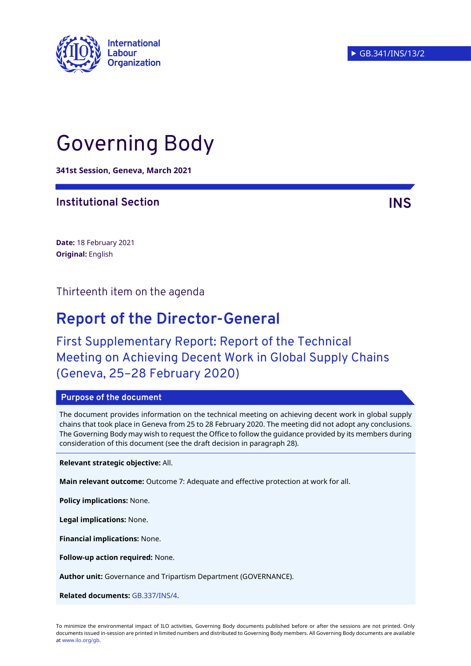

# Governing Body

**341st Session, Geneva, March 2021**

## **Institutional Section INS**

**Date:** 18 February 2021 **Original:** English

Thirteenth item on the agenda

# **Report of the Director-General**

First Supplementary Report: Report of the Technical Meeting on Achieving Decent Work in Global Supply Chains (Geneva, 25–28 February 2020)

#### **Purpose of the document**

The document provides information on the technical meeting on achieving decent work in global supply chains that took place in Geneva from 25 to 28 February 2020. The meeting did not adopt any conclusions. The Governing Body may wish to request the Office to follow the guidance provided by its members during consideration of this document (see the draft decision in paragraph 28).

**Relevant strategic objective:** All.

**Main relevant outcome:** Outcome 7: Adequate and effective protection at work for all.

**Policy implications:** None.

**Legal implications:** None.

**Financial implications:** None.

**Follow-up action required:** None.

**Author unit:** Governance and Tripartism Department (GOVERNANCE).

**Related documents:** [GB.337/INS/4.](https://www.ilo.org/wcmsp5/groups/public/---ed_norm/---relconf/documents/meetingdocument/wcms_722485.pdf)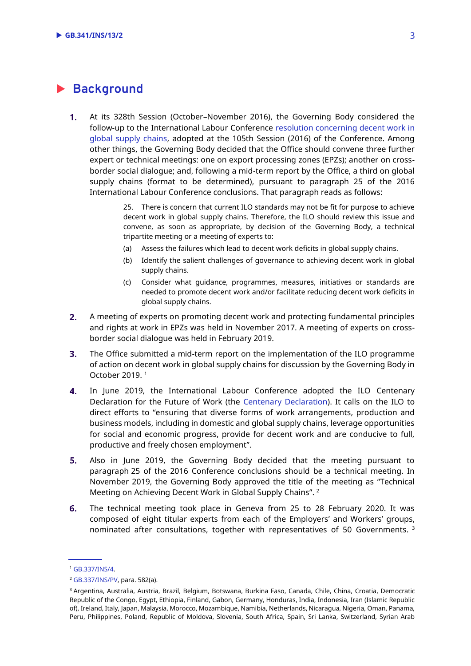## **Background**

 $1.$ At its 328th Session (October–November 2016), the Governing Body considered the follow-up to the International Labour Conference [resolution concerning decent work in](https://www.ilo.org/wcmsp5/groups/public/---ed_norm/---relconf/documents/meetingdocument/wcms_497555.pdf)  [global supply chains,](https://www.ilo.org/wcmsp5/groups/public/---ed_norm/---relconf/documents/meetingdocument/wcms_497555.pdf) adopted at the 105th Session (2016) of the Conference. Among other things, the Governing Body decided that the Office should convene three further expert or technical meetings: one on export processing zones (EPZs); another on crossborder social dialogue; and, following a mid-term report by the Office, a third on global supply chains (format to be determined), pursuant to paragraph 25 of the 2016 International Labour Conference conclusions. That paragraph reads as follows:

> 25. There is concern that current ILO standards may not be fit for purpose to achieve decent work in global supply chains. Therefore, the ILO should review this issue and convene, as soon as appropriate, by decision of the Governing Body, a technical tripartite meeting or a meeting of experts to:

- (a) Assess the failures which lead to decent work deficits in global supply chains.
- (b) Identify the salient challenges of governance to achieving decent work in global supply chains.
- (c) Consider what guidance, programmes, measures, initiatives or standards are needed to promote decent work and/or facilitate reducing decent work deficits in global supply chains.
- $2.$ A meeting of experts on promoting decent work and protecting fundamental principles and rights at work in EPZs was held in November 2017. A meeting of experts on crossborder social dialogue was held in February 2019.
- $3<sub>1</sub>$ The Office submitted a mid-term report on the implementation of the ILO programme of action on decent work in global supply chains for discussion by the Governing Body in October 2019. <sup>1</sup>
- $\mathbf{4}$ In June 2019, the International Labour Conference adopted the ILO Centenary Declaration for the Future of Work (the [Centenary Declaration\)](https://www.ilo.org/wcmsp5/groups/public/@ed_norm/@relconf/documents/meetingdocument/wcms_711674.pdf). It calls on the ILO to direct efforts to "ensuring that diverse forms of work arrangements, production and business models, including in domestic and global supply chains, leverage opportunities for social and economic progress, provide for decent work and are conducive to full, productive and freely chosen employment".
- $5.$ Also in June 2019, the Governing Body decided that the meeting pursuant to paragraph 25 of the 2016 Conference conclusions should be a technical meeting. In November 2019, the Governing Body approved the title of the meeting as "Technical Meeting on Achieving Decent Work in Global Supply Chains". <sup>2</sup>
- The technical meeting took place in Geneva from 25 to 28 February 2020. It was 6. composed of eight titular experts from each of the Employers' and Workers' groups, nominated after consultations, together with representatives of 50 Governments. <sup>3</sup>

<sup>1</sup> [GB.337/INS/4.](https://www.ilo.org/wcmsp5/groups/public/---ed_norm/---relconf/documents/meetingdocument/wcms_722485.pdf)

<sup>2</sup> [GB.337/INS/PV,](https://www.ilo.org/wcmsp5/groups/public/---ed_norm/---relconf/documents/meetingdocument/wcms_731616.pdf) para. 582(a).

<sup>3</sup> Argentina, Australia, Austria, Brazil, Belgium, Botswana, Burkina Faso, Canada, Chile, China, Croatia, Democratic Republic of the Congo, Egypt, Ethiopia, Finland, Gabon, Germany, Honduras, India, Indonesia, Iran (Islamic Republic of), Ireland, Italy, Japan, Malaysia, Morocco, Mozambique, Namibia, Netherlands, Nicaragua, Nigeria, Oman, Panama, Peru, Philippines, Poland, Republic of Moldova, Slovenia, South Africa, Spain, Sri Lanka, Switzerland, Syrian Arab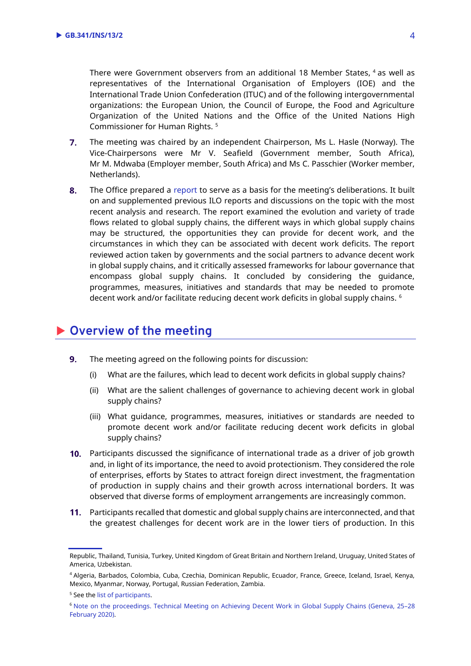There were Government observers from an additional 18 Member States, <sup>4</sup> as well as representatives of the International Organisation of Employers (IOE) and the International Trade Union Confederation (ITUC) and of the following intergovernmental organizations: the European Union, the Council of Europe, the Food and Agriculture Organization of the United Nations and the Office of the United Nations High Commissioner for Human Rights. <sup>5</sup>

- $7.$ The meeting was chaired by an independent Chairperson, Ms L. Hasle (Norway). The Vice-Chairpersons were Mr V. Seafield (Government member, South Africa), Mr M. Mdwaba (Employer member, South Africa) and Ms C. Passchier (Worker member, Netherlands).
- 8. The Office prepared a [report](https://www.ilo.org/wcmsp5/groups/public/---ed_dialogue/---dialogue/documents/meetingdocument/wcms_736541.pdf) to serve as a basis for the meeting's deliberations. It built on and supplemented previous ILO reports and discussions on the topic with the most recent analysis and research. The report examined the evolution and variety of trade flows related to global supply chains, the different ways in which global supply chains may be structured, the opportunities they can provide for decent work, and the circumstances in which they can be associated with decent work deficits. The report reviewed action taken by governments and the social partners to advance decent work in global supply chains, and it critically assessed frameworks for labour governance that encompass global supply chains. It concluded by considering the guidance, programmes, measures, initiatives and standards that may be needed to promote decent work and/or facilitate reducing decent work deficits in global supply chains. <sup>6</sup>

## **Overview of the meeting**

- 9. The meeting agreed on the following points for discussion:
	- (i) What are the failures, which lead to decent work deficits in global supply chains?
	- (ii) What are the salient challenges of governance to achieving decent work in global supply chains?
	- (iii) What guidance, programmes, measures, initiatives or standards are needed to promote decent work and/or facilitate reducing decent work deficits in global supply chains?
- 10. Participants discussed the significance of international trade as a driver of job growth and, in light of its importance, the need to avoid protectionism. They considered the role of enterprises, efforts by States to attract foreign direct investment, the fragmentation of production in supply chains and their growth across international borders. It was observed that diverse forms of employment arrangements are increasingly common.
- 11. Participants recalled that domestic and global supply chains are interconnected, and that the greatest challenges for decent work are in the lower tiers of production. In this

Republic, Thailand, Tunisia, Turkey, United Kingdom of Great Britain and Northern Ireland, Uruguay, United States of America, Uzbekistan.

<sup>4</sup> Algeria, Barbados, Colombia, Cuba, Czechia, Dominican Republic, Ecuador, France, Greece, Iceland, Israel, Kenya, Mexico, Myanmar, Norway, Portugal, Russian Federation, Zambia.

<sup>5</sup> See the [list of participants.](https://www.ilo.org/wcmsp5/groups/public/---ed_dialogue/---dialogue/documents/meetingdocument/wcms_752759.pdf)

<sup>6</sup> [Note on the proceedings. Technical Meeting on Achieving Decent Work in Global Supply Chains \(Geneva, 25](https://www.ilo.org/wcmsp5/groups/public/---ed_dialogue/---dialogue/documents/meetingdocument/wcms_757101.pdf)–28 [February 2020\).](https://www.ilo.org/wcmsp5/groups/public/---ed_dialogue/---dialogue/documents/meetingdocument/wcms_757101.pdf)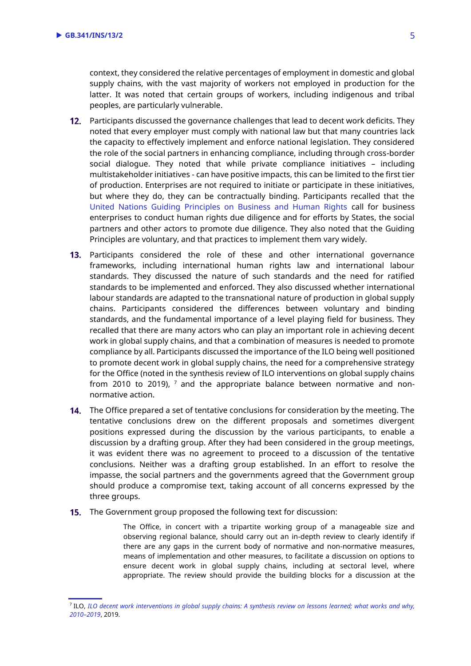context, they considered the relative percentages of employment in domestic and global supply chains, with the vast majority of workers not employed in production for the latter. It was noted that certain groups of workers, including indigenous and tribal peoples, are particularly vulnerable.

- 12. Participants discussed the governance challenges that lead to decent work deficits. They noted that every employer must comply with national law but that many countries lack the capacity to effectively implement and enforce national legislation. They considered the role of the social partners in enhancing compliance, including through cross-border social dialogue. They noted that while private compliance initiatives – including multistakeholder initiatives - can have positive impacts, this can be limited to the first tier of production. Enterprises are not required to initiate or participate in these initiatives, but where they do, they can be contractually binding. Participants recalled that the [United Nations Guiding Principles on Business and Human Rights](https://www.ohchr.org/documents/publications/guidingprinciplesbusinesshr_en.pdf) call for business enterprises to conduct human rights due diligence and for efforts by States, the social partners and other actors to promote due diligence. They also noted that the Guiding Principles are voluntary, and that practices to implement them vary widely.
- 13. Participants considered the role of these and other international governance frameworks, including international human rights law and international labour standards. They discussed the nature of such standards and the need for ratified standards to be implemented and enforced. They also discussed whether international labour standards are adapted to the transnational nature of production in global supply chains. Participants considered the differences between voluntary and binding standards, and the fundamental importance of a level playing field for business. They recalled that there are many actors who can play an important role in achieving decent work in global supply chains, and that a combination of measures is needed to promote compliance by all. Participants discussed the importance of the ILO being well positioned to promote decent work in global supply chains, the need for a comprehensive strategy for the Office (noted in the synthesis review of ILO interventions on global supply chains from 2010 to 2019),  $<sup>7</sup>$  and the appropriate balance between normative and non-</sup> normative action.
- **14.** The Office prepared a set of tentative conclusions for consideration by the meeting. The tentative conclusions drew on the different proposals and sometimes divergent positions expressed during the discussion by the various participants, to enable a discussion by a drafting group. After they had been considered in the group meetings, it was evident there was no agreement to proceed to a discussion of the tentative conclusions. Neither was a drafting group established. In an effort to resolve the impasse, the social partners and the governments agreed that the Government group should produce a compromise text, taking account of all concerns expressed by the three groups.
- **15.** The Government group proposed the following text for discussion:

The Office, in concert with a tripartite working group of a manageable size and observing regional balance, should carry out an in-depth review to clearly identify if there are any gaps in the current body of normative and non-normative measures, means of implementation and other measures, to facilitate a discussion on options to ensure decent work in global supply chains, including at sectoral level, where appropriate. The review should provide the building blocks for a discussion at the

<sup>7</sup> ILO, *[ILO decent work interventions in global supply chains: A synthesis review on lessons learned;](https://www.ilo.org/wcmsp5/groups/public/---ed_mas/---eval/documents/publication/wcms_722176.pdf) what works and why, [2010](https://www.ilo.org/wcmsp5/groups/public/---ed_mas/---eval/documents/publication/wcms_722176.pdf)–2019*, 2019.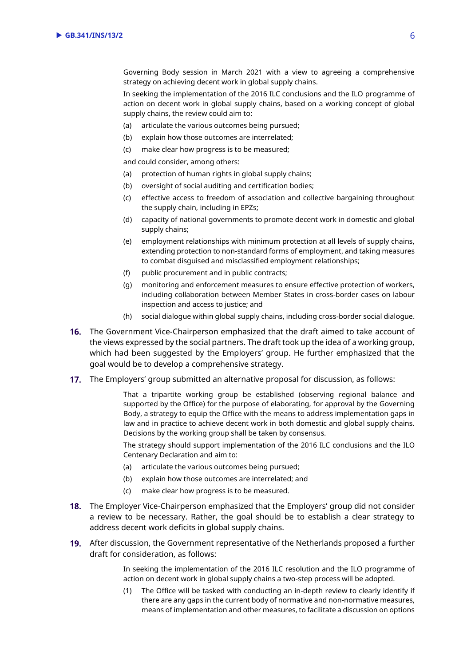Governing Body session in March 2021 with a view to agreeing a comprehensive strategy on achieving decent work in global supply chains.

In seeking the implementation of the 2016 ILC conclusions and the ILO programme of action on decent work in global supply chains, based on a working concept of global supply chains, the review could aim to:

- (a) articulate the various outcomes being pursued;
- (b) explain how those outcomes are interrelated;
- (c) make clear how progress is to be measured;

and could consider, among others:

- (a) protection of human rights in global supply chains;
- (b) oversight of social auditing and certification bodies;
- (c) effective access to freedom of association and collective bargaining throughout the supply chain, including in EPZs;
- (d) capacity of national governments to promote decent work in domestic and global supply chains;
- (e) employment relationships with minimum protection at all levels of supply chains, extending protection to non-standard forms of employment, and taking measures to combat disguised and misclassified employment relationships;
- (f) public procurement and in public contracts;
- (g) monitoring and enforcement measures to ensure effective protection of workers, including collaboration between Member States in cross-border cases on labour inspection and access to justice; and
- (h) social dialogue within global supply chains, including cross-border social dialogue.
- **16.** The Government Vice-Chairperson emphasized that the draft aimed to take account of the views expressed by the social partners. The draft took up the idea of a working group, which had been suggested by the Employers' group. He further emphasized that the goal would be to develop a comprehensive strategy.
- **17.** The Employers' group submitted an alternative proposal for discussion, as follows:

That a tripartite working group be established (observing regional balance and supported by the Office) for the purpose of elaborating, for approval by the Governing Body, a strategy to equip the Office with the means to address implementation gaps in law and in practice to achieve decent work in both domestic and global supply chains. Decisions by the working group shall be taken by consensus.

The strategy should support implementation of the 2016 ILC conclusions and the ILO Centenary Declaration and aim to:

- (a) articulate the various outcomes being pursued;
- (b) explain how those outcomes are interrelated; and
- (c) make clear how progress is to be measured.
- The Employer Vice-Chairperson emphasized that the Employers' group did not consider a review to be necessary. Rather, the goal should be to establish a clear strategy to address decent work deficits in global supply chains.
- **19.** After discussion, the Government representative of the Netherlands proposed a further draft for consideration, as follows:

In seeking the implementation of the 2016 ILC resolution and the ILO programme of action on decent work in global supply chains a two-step process will be adopted.

(1) The Office will be tasked with conducting an in-depth review to clearly identify if there are any gaps in the current body of normative and non-normative measures, means of implementation and other measures, to facilitate a discussion on options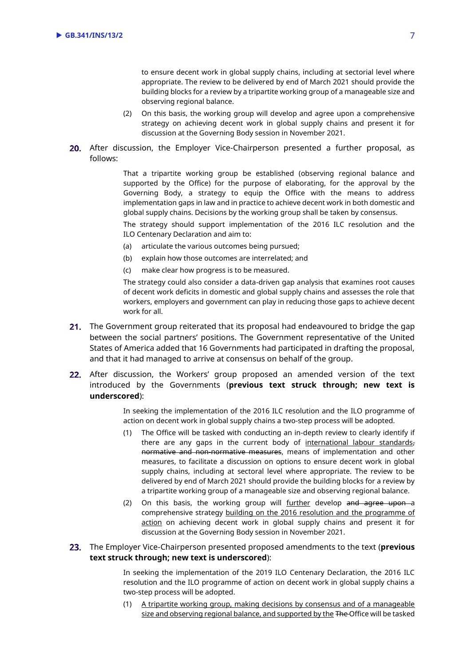to ensure decent work in global supply chains, including at sectorial level where appropriate. The review to be delivered by end of March 2021 should provide the building blocks for a review by a tripartite working group of a manageable size and observing regional balance.

- (2) On this basis, the working group will develop and agree upon a comprehensive strategy on achieving decent work in global supply chains and present it for discussion at the Governing Body session in November 2021.
- 20. After discussion, the Employer Vice-Chairperson presented a further proposal, as follows:

That a tripartite working group be established (observing regional balance and supported by the Office) for the purpose of elaborating, for the approval by the Governing Body, a strategy to equip the Office with the means to address implementation gaps in law and in practice to achieve decent work in both domestic and global supply chains. Decisions by the working group shall be taken by consensus.

The strategy should support implementation of the 2016 ILC resolution and the ILO Centenary Declaration and aim to:

- (a) articulate the various outcomes being pursued;
- (b) explain how those outcomes are interrelated; and
- (c) make clear how progress is to be measured.

The strategy could also consider a data-driven gap analysis that examines root causes of decent work deficits in domestic and global supply chains and assesses the role that workers, employers and government can play in reducing those gaps to achieve decent work for all.

- 21. The Government group reiterated that its proposal had endeavoured to bridge the gap between the social partners' positions. The Government representative of the United States of America added that 16 Governments had participated in drafting the proposal, and that it had managed to arrive at consensus on behalf of the group.
- 22. After discussion, the Workers' group proposed an amended version of the text introduced by the Governments (**previous text struck through; new text is underscored**):

In seeking the implementation of the 2016 ILC resolution and the ILO programme of action on decent work in global supply chains a two-step process will be adopted.

- (1) The Office will be tasked with conducting an in-depth review to clearly identify if there are any gaps in the current body of international labour standards, normative and non-normative measures, means of implementation and other measures, to facilitate a discussion on options to ensure decent work in global supply chains, including at sectoral level where appropriate. The review to be delivered by end of March 2021 should provide the building blocks for a review by a tripartite working group of a manageable size and observing regional balance.
- (2) On this basis, the working group will further develop and agree upon a comprehensive strategy building on the 2016 resolution and the programme of action on achieving decent work in global supply chains and present it for discussion at the Governing Body session in November 2021.
- The Employer Vice-Chairperson presented proposed amendments to the text (**previous text struck through; new text is underscored**):

In seeking the implementation of the 2019 ILO Centenary Declaration, the 2016 ILC resolution and the ILO programme of action on decent work in global supply chains a two-step process will be adopted.

(1) A tripartite working group, making decisions by consensus and of a manageable size and observing regional balance, and supported by the The Office will be tasked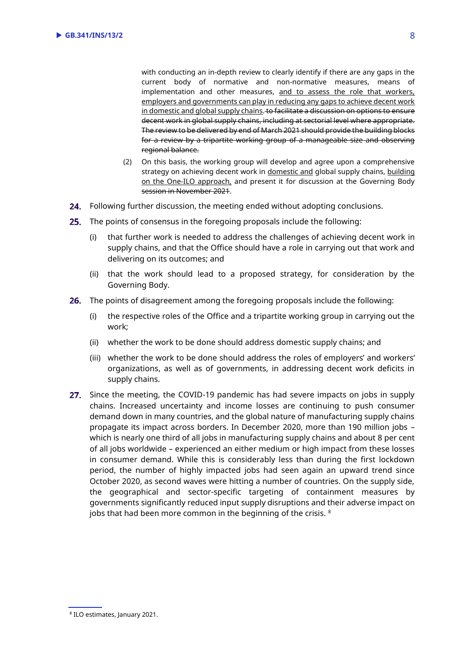with conducting an in-depth review to clearly identify if there are any gaps in the current body of normative and non-normative measures, means of implementation and other measures, and to assess the role that workers, employers and governments can play in reducing any gaps to achieve decent work in domestic and global supply chains. to facilitate a discussion on options to ensure decent work in global supply chains, including at sectorial level where appropriate. The review to be delivered by end of March 2021 should provide the building blocks for a review by a tripartite working group of a manageable size and observing regional balance.

- (2) On this basis, the working group will develop and agree upon a comprehensive strategy on achieving decent work in domestic and global supply chains, building on the One-ILO approach, and present it for discussion at the Governing Body session in November 2021.
- 24. Following further discussion, the meeting ended without adopting conclusions.
- The points of consensus in the foregoing proposals include the following:
	- (i) that further work is needed to address the challenges of achieving decent work in supply chains, and that the Office should have a role in carrying out that work and delivering on its outcomes; and
	- (ii) that the work should lead to a proposed strategy, for consideration by the Governing Body.
- 26. The points of disagreement among the foregoing proposals include the following:
	- (i) the respective roles of the Office and a tripartite working group in carrying out the work;
	- (ii) whether the work to be done should address domestic supply chains; and
	- (iii) whether the work to be done should address the roles of employers' and workers' organizations, as well as of governments, in addressing decent work deficits in supply chains.
- 27. Since the meeting, the COVID-19 pandemic has had severe impacts on jobs in supply chains. Increased uncertainty and income losses are continuing to push consumer demand down in many countries, and the global nature of manufacturing supply chains propagate its impact across borders. In December 2020, more than 190 million jobs – which is nearly one third of all jobs in manufacturing supply chains and about 8 per cent of all jobs worldwide – experienced an either medium or high impact from these losses in consumer demand. While this is considerably less than during the first lockdown period, the number of highly impacted jobs had seen again an upward trend since October 2020, as second waves were hitting a number of countries. On the supply side, the geographical and sector-specific targeting of containment measures by governments significantly reduced input supply disruptions and their adverse impact on jobs that had been more common in the beginning of the crisis. <sup>8</sup>

<sup>8</sup> ILO estimates, January 2021.